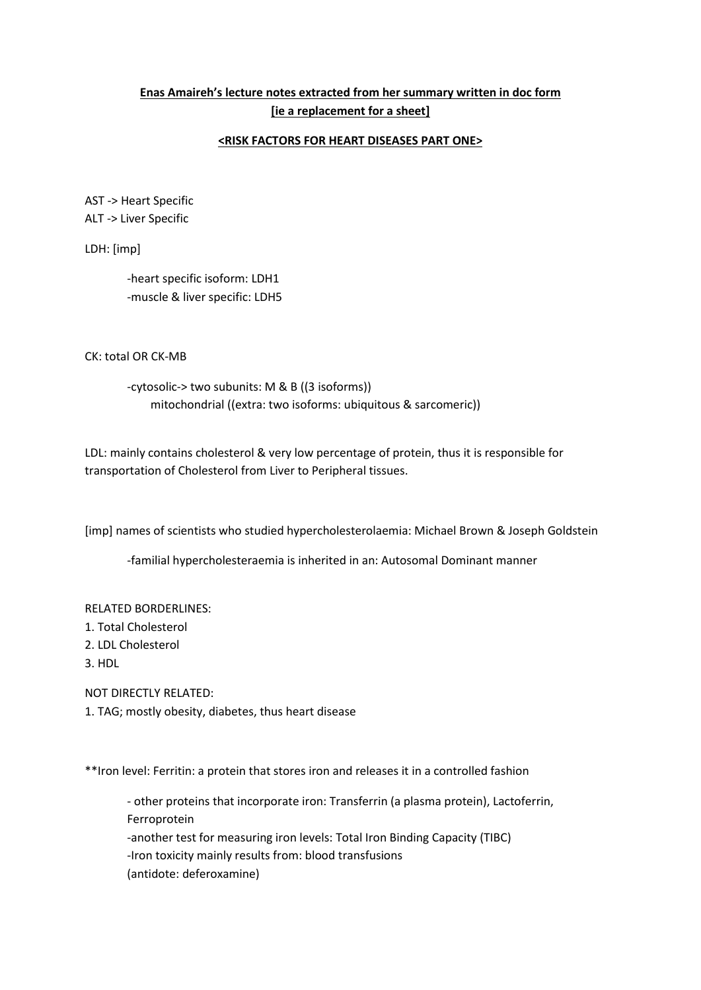## **Enas Amaireh's lecture notes extracted from her summary written in doc form [ie a replacement for a sheet]**

## **<RISK FACTORS FOR HEART DISEASES PART ONE>**

AST -> Heart Specific ALT -> Liver Specific

LDH: [imp]

-heart specific isoform: LDH1 -muscle & liver specific: LDH5

CK: total OR CK-MB

-cytosolic-> two subunits: M & B ((3 isoforms)) mitochondrial ((extra: two isoforms: ubiquitous & sarcomeric))

LDL: mainly contains cholesterol & very low percentage of protein, thus it is responsible for transportation of Cholesterol from Liver to Peripheral tissues.

[imp] names of scientists who studied hypercholesterolaemia: Michael Brown & Joseph Goldstein

-familial hypercholesteraemia is inherited in an: Autosomal Dominant manner

RELATED BORDERLINES:

- 1. Total Cholesterol
- 2. LDL Cholesterol
- 3. HDL

NOT DIRECTLY RELATED: 1. TAG; mostly obesity, diabetes, thus heart disease

\*\*Iron level: Ferritin: a protein that stores iron and releases it in a controlled fashion

- other proteins that incorporate iron: Transferrin (a plasma protein), Lactoferrin, Ferroprotein

-another test for measuring iron levels: Total Iron Binding Capacity (TIBC)

-Iron toxicity mainly results from: blood transfusions

(antidote: deferoxamine)